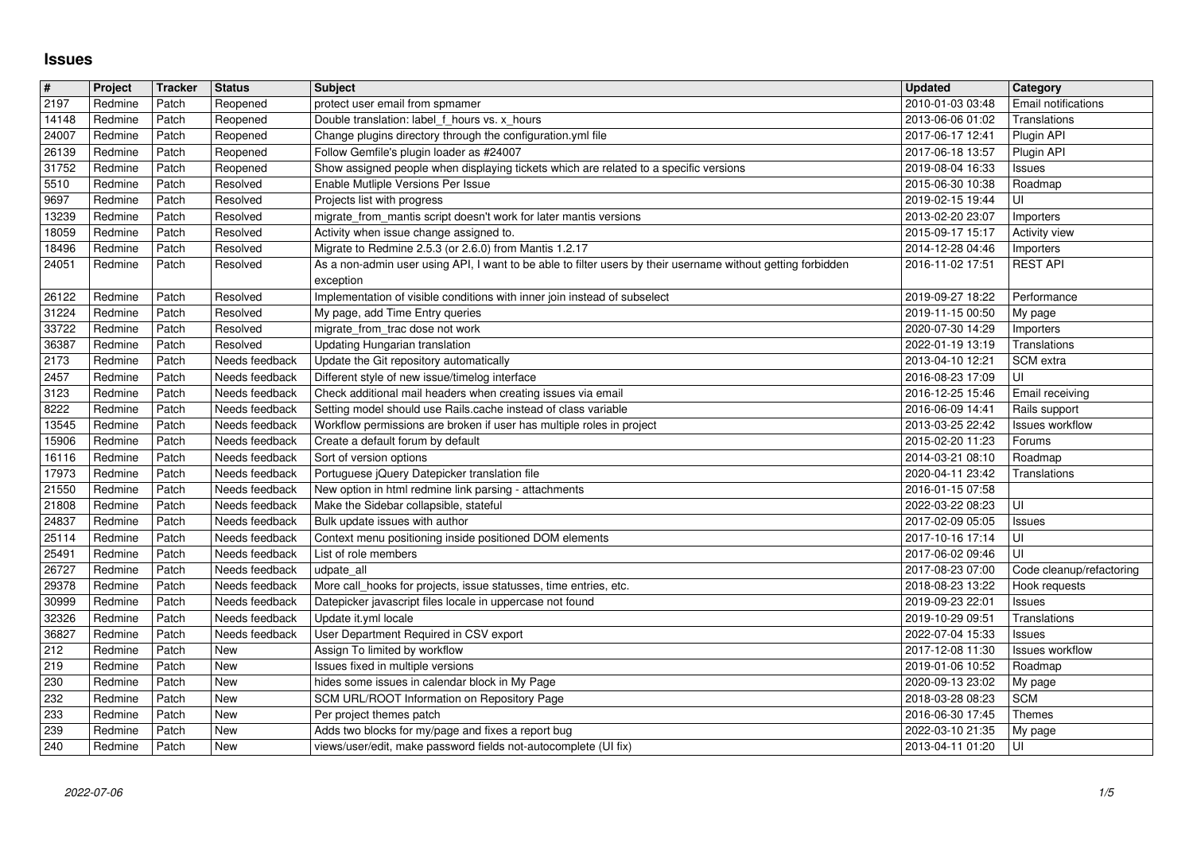## **Issues**

| $\#$           | Project            | Tracker        | <b>Status</b>                    | <b>Subject</b>                                                                                                                    | <b>Updated</b>                       | Category                            |
|----------------|--------------------|----------------|----------------------------------|-----------------------------------------------------------------------------------------------------------------------------------|--------------------------------------|-------------------------------------|
| 2197<br>14148  | Redmine<br>Redmine | Patch<br>Patch | Reopened<br>Reopened             | protect user email from spmamer<br>Double translation: label f hours vs. x hours                                                  | 2010-01-03 03:48<br>2013-06-06 01:02 | Email notifications<br>Translations |
| 24007          | Redmine            | Patch          | Reopened                         | Change plugins directory through the configuration.yml file                                                                       | 2017-06-17 12:41                     | Plugin API                          |
| 26139<br>31752 | Redmine<br>Redmine | Patch<br>Patch | Reopened<br>Reopened             | Follow Gemfile's plugin loader as #24007<br>Show assigned people when displaying tickets which are related to a specific versions | 2017-06-18 13:57<br>2019-08-04 16:33 | Plugin API<br>Issues                |
| 5510           | Redmine            | Patch          | Resolved                         | Enable Mutliple Versions Per Issue                                                                                                | 2015-06-30 10:38                     | Roadmap                             |
| 9697           | Redmine            | Patch          | Resolved                         | Projects list with progress                                                                                                       | 2019-02-15 19:44                     | UI                                  |
| 13239<br>18059 | Redmine<br>Redmine | Patch<br>Patch | Resolved<br>Resolved             | migrate_from_mantis script doesn't work for later mantis versions<br>Activity when issue change assigned to.                      | 2013-02-20 23:07<br>2015-09-17 15:17 | Importers<br>Activity view          |
| 18496          | Redmine            | Patch          | Resolved                         | Migrate to Redmine 2.5.3 (or 2.6.0) from Mantis 1.2.17                                                                            | 2014-12-28 04:46                     | Importers                           |
| 24051          | Redmine            | Patch          | Resolved                         | As a non-admin user using API, I want to be able to filter users by their username without getting forbidden                      | 2016-11-02 17:51                     | <b>REST API</b>                     |
| 26122          | Redmine            | Patch          | Resolved                         | exception<br>Implementation of visible conditions with inner join instead of subselect                                            | 2019-09-27 18:22                     | Performance                         |
| 31224          | Redmine            | Patch          | Resolved                         | My page, add Time Entry queries                                                                                                   | 2019-11-15 00:50                     | My page                             |
| 33722<br>36387 | Redmine<br>Redmine | Patch<br>Patch | Resolved<br>Resolved             | migrate_from_trac dose not work<br>Updating Hungarian translation                                                                 | 2020-07-30 14:29<br>2022-01-19 13:19 | Importers<br>Translations           |
| 2173           | Redmine            | Patch          | Needs feedback                   | Update the Git repository automatically                                                                                           | 2013-04-10 12:21                     | SCM extra                           |
| 2457           | Redmine            | Patch          | Needs feedback                   | Different style of new issue/timelog interface                                                                                    | 2016-08-23 17:09                     | UI                                  |
| 3123<br>8222   | Redmine            | Patch          | Needs feedback<br>Needs feedback | Check additional mail headers when creating issues via email<br>Setting model should use Rails.cache instead of class variable    | 2016-12-25 15:46                     | Email receiving                     |
| 13545          | Redmine<br>Redmine | Patch<br>Patch | Needs feedback                   | Workflow permissions are broken if user has multiple roles in project                                                             | 2016-06-09 14:41<br>2013-03-25 22:42 | Rails support<br>Issues workflow    |
| 15906          | Redmine            | Patch          | Needs feedback                   | Create a default forum by default                                                                                                 | 2015-02-20 11:23                     | Forums                              |
| 16116<br>17973 | Redmine<br>Redmine | Patch<br>Patch | Needs feedback<br>Needs feedback | Sort of version options<br>Portuguese jQuery Datepicker translation file                                                          | 2014-03-21 08:10<br>2020-04-11 23:42 | Roadmap<br>Translations             |
| 21550          | Redmine            | Patch          | Needs feedback                   | New option in html redmine link parsing - attachments                                                                             | 2016-01-15 07:58                     |                                     |
| 21808          | Redmine            | Patch          | Needs feedback                   | Make the Sidebar collapsible, stateful                                                                                            | 2022-03-22 08:23                     | UI                                  |
| 24837<br>25114 | Redmine<br>Redmine | Patch<br>Patch | Needs feedback<br>Needs feedback | Bulk update issues with author<br>Context menu positioning inside positioned DOM elements                                         | 2017-02-09 05:05<br>2017-10-16 17:14 | Issues<br>UI                        |
| 25491          | Redmine            | Patch          | Needs feedback                   | List of role members                                                                                                              | 2017-06-02 09:46                     | luı                                 |
| 26727          | Redmine            | Patch          | Needs feedback                   | udpate_all                                                                                                                        | 2017-08-23 07:00                     | Code cleanup/refactoring            |
| 29378<br>30999 | Redmine<br>Redmine | Patch<br>Patch | Needs feedback<br>Needs feedback | More call_hooks for projects, issue statusses, time entries, etc.<br>Datepicker javascript files locale in uppercase not found    | 2018-08-23 13:22<br>2019-09-23 22:01 | Hook requests<br>Issues             |
| 32326          | Redmine            | Patch          | Needs feedback                   | Update it.yml locale                                                                                                              | 2019-10-29 09:51                     | Translations                        |
| 36827          | Redmine            | Patch          | Needs feedback                   | User Department Required in CSV export                                                                                            | 2022-07-04 15:33                     | Issues                              |
| 212<br>219     | Redmine<br>Redmine | Patch<br>Patch | New<br>New                       | Assign To limited by workflow<br>Issues fixed in multiple versions                                                                | 2017-12-08 11:30<br>2019-01-06 10:52 | <b>Issues workflow</b><br>Roadmap   |
| 230            | Redmine            | Patch          | New                              | hides some issues in calendar block in My Page                                                                                    | 2020-09-13 23:02                     | My page                             |
| 232            | Redmine            | Patch          | New                              | SCM URL/ROOT Information on Repository Page                                                                                       | 2018-03-28 08:23                     | <b>SCM</b>                          |
| 233<br>239     | Redmine<br>Redmine | Patch<br>Patch | New<br>New                       | Per project themes patch<br>Adds two blocks for my/page and fixes a report bug                                                    | 2016-06-30 17:45<br>2022-03-10 21:35 | Themes<br>My page                   |
| 240            | Redmine            | Patch          | New                              | views/user/edit, make password fields not-autocomplete (UI fix)                                                                   | 2013-04-11 01:20                     | ∣∪I                                 |
|                |                    |                |                                  |                                                                                                                                   |                                      |                                     |
|                |                    |                |                                  |                                                                                                                                   |                                      |                                     |
|                |                    |                |                                  |                                                                                                                                   |                                      |                                     |
|                |                    |                |                                  |                                                                                                                                   |                                      |                                     |
|                |                    |                |                                  |                                                                                                                                   |                                      |                                     |
|                |                    |                |                                  |                                                                                                                                   |                                      |                                     |
|                |                    |                |                                  |                                                                                                                                   |                                      |                                     |
|                |                    |                |                                  |                                                                                                                                   |                                      |                                     |
|                |                    |                |                                  |                                                                                                                                   |                                      |                                     |
|                |                    |                |                                  |                                                                                                                                   |                                      |                                     |
|                |                    |                |                                  |                                                                                                                                   |                                      |                                     |
|                |                    |                |                                  |                                                                                                                                   |                                      |                                     |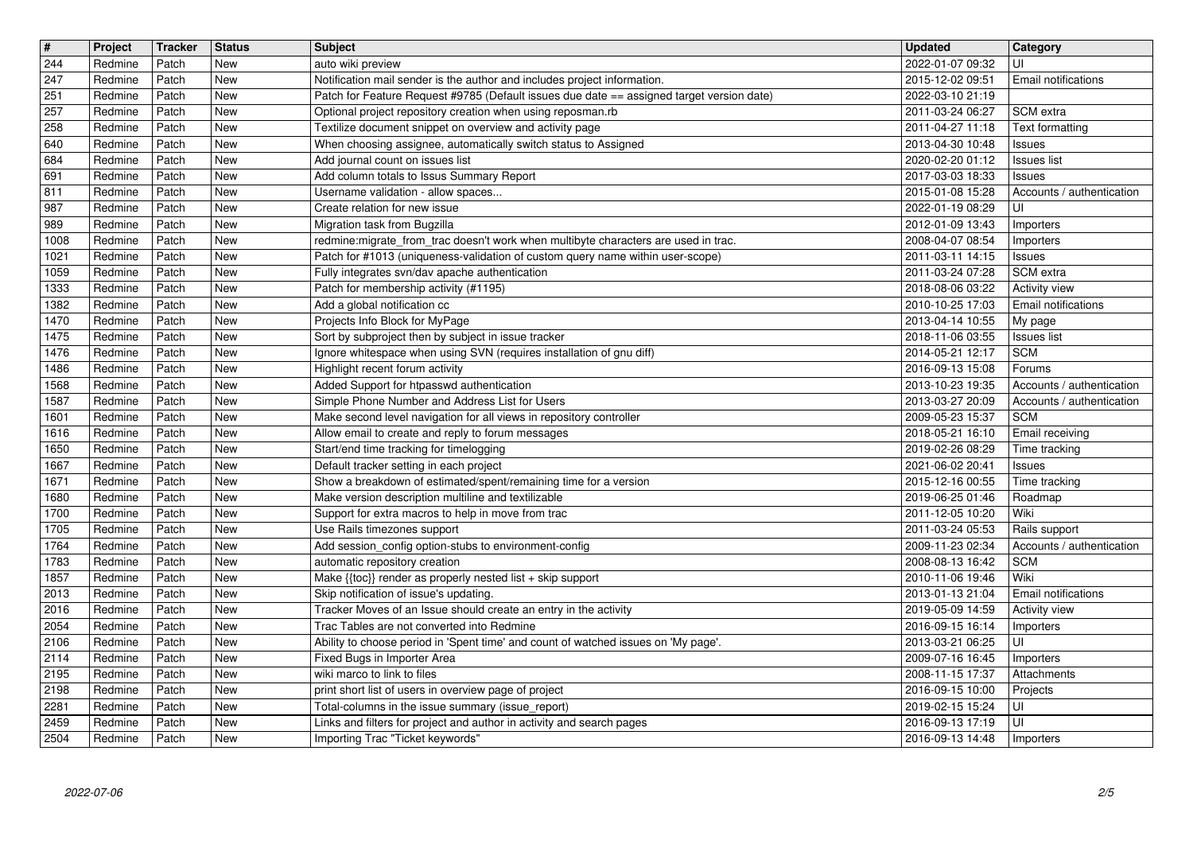| $\overline{\mathbf{t}}$ | Project            | Tracker        | <b>Status</b>            | <b>Subject</b>                                                                                                              | <b>Updated</b>                       | <b>Category</b>               |
|-------------------------|--------------------|----------------|--------------------------|-----------------------------------------------------------------------------------------------------------------------------|--------------------------------------|-------------------------------|
| 244<br>247              | Redmine<br>Redmine | Patch<br>Patch | New<br><b>New</b>        | auto wiki preview<br>Notification mail sender is the author and includes project information.                               | 2022-01-07 09:32<br>2015-12-02 09:51 | UI<br>Email notifications     |
| 251                     | Redmine            | Patch          | New                      | Patch for Feature Request #9785 (Default issues due date == assigned target version date)                                   | 2022-03-10 21:19                     |                               |
| 257                     | Redmine            | Patch          | <b>New</b>               | Optional project repository creation when using reposman.rb                                                                 | 2011-03-24 06:27                     | SCM extra                     |
| 258<br>640              | Redmine<br>Redmine | Patch<br>Patch | New<br><b>New</b>        | Textilize document snippet on overview and activity page<br>When choosing assignee, automatically switch status to Assigned | 2011-04-27 11:18<br>2013-04-30 10:48 | Text formatting<br>Issues     |
| 684                     | Redmine            | Patch          | New                      | Add journal count on issues list                                                                                            | 2020-02-20 01:12                     | <b>Issues list</b>            |
| 691                     | Redmine            | Patch          | New                      | Add column totals to Issus Summary Report                                                                                   | 2017-03-03 18:33                     | <b>Issues</b>                 |
| 811<br>987              | Redmine            | Patch          | New<br>New               | Username validation - allow spaces<br>Create relation for new issue                                                         | 2015-01-08 15:28                     | Accounts / authentication     |
| 989                     | Redmine<br>Redmine | Patch<br>Patch | New                      | Migration task from Bugzilla                                                                                                | 2022-01-19 08:29<br>2012-01-09 13:43 | UI<br>Importers               |
| 1008                    | Redmine            | Patch          | New                      | redmine: migrate_from_trac doesn't work when multibyte characters are used in trac.                                         | 2008-04-07 08:54                     | Importers                     |
| 1021                    | Redmine            | Patch          | <b>New</b>               | Patch for #1013 (uniqueness-validation of custom query name within user-scope)                                              | 2011-03-11 14:15                     | <b>Issues</b>                 |
| 1059<br>1333            | Redmine<br>Redmine | Patch<br>Patch | <b>New</b><br><b>New</b> | Fully integrates svn/dav apache authentication<br>Patch for membership activity (#1195)                                     | 2011-03-24 07:28<br>2018-08-06 03:22 | SCM extra<br>Activity view    |
| 1382                    | Redmine            | Patch          | New                      | Add a global notification cc                                                                                                | 2010-10-25 17:03                     | Email notifications           |
| 1470                    | Redmine            | Patch          | New                      | Projects Info Block for MyPage                                                                                              | 2013-04-14 10:55                     | My page                       |
| 1475                    | Redmine            | Patch          | New                      | Sort by subproject then by subject in issue tracker                                                                         | 2018-11-06 03:55                     | <b>Issues list</b>            |
| 1476<br>1486            | Redmine<br>Redmine | Patch<br>Patch | New<br>New               | Ignore whitespace when using SVN (requires installation of gnu diff)<br>Highlight recent forum activity                     | 2014-05-21 12:17<br>2016-09-13 15:08 | <b>SCM</b><br>Forums          |
| 1568                    | Redmine            | Patch          | New                      | Added Support for htpasswd authentication                                                                                   | 2013-10-23 19:35                     | Accounts / authentication     |
| 1587                    | Redmine            | Patch          | <b>New</b>               | Simple Phone Number and Address List for Users                                                                              | 2013-03-27 20:09                     | Accounts / authentication     |
| 1601<br>1616            | Redmine<br>Redmine | Patch<br>Patch | <b>New</b><br><b>New</b> | Make second level navigation for all views in repository controller<br>Allow email to create and reply to forum messages    | 2009-05-23 15:37<br>2018-05-21 16:10 | <b>SCM</b><br>Email receiving |
| 1650                    | Redmine            | Patch          | New                      | Start/end time tracking for timelogging                                                                                     | 2019-02-26 08:29                     | Time tracking                 |
| 1667                    | Redmine            | Patch          | New                      | Default tracker setting in each project                                                                                     | 2021-06-02 20:41                     | Issues                        |
| 1671                    | Redmine            | Patch          | New                      | Show a breakdown of estimated/spent/remaining time for a version                                                            | 2015-12-16 00:55                     | Time tracking                 |
| 1680<br>1700            | Redmine<br>Redmine | Patch<br>Patch | New<br>New               | Make version description multiline and textilizable<br>Support for extra macros to help in move from trac                   | 2019-06-25 01:46<br>2011-12-05 10:20 | Roadmap<br>Wiki               |
| 1705                    | Redmine            | Patch          | New                      | Use Rails timezones support                                                                                                 | 2011-03-24 05:53                     | Rails support                 |
| 1764                    | Redmine            | Patch          | <b>New</b>               | Add session_config option-stubs to environment-config                                                                       | 2009-11-23 02:34                     | Accounts / authentication     |
| 1783                    | Redmine            | Patch          | <b>New</b><br><b>New</b> | automatic repository creation                                                                                               | 2008-08-13 16:42                     | <b>SCM</b><br>Wiki            |
| 1857<br>2013            | Redmine<br>Redmine | Patch<br>Patch | <b>New</b>               | Make {{toc}} render as properly nested list + skip support<br>Skip notification of issue's updating.                        | 2010-11-06 19:46<br>2013-01-13 21:04 | <b>Email notifications</b>    |
| 2016                    | Redmine            | Patch          | New                      | Tracker Moves of an Issue should create an entry in the activity                                                            | 2019-05-09 14:59                     | Activity view                 |
| 2054                    | Redmine            | Patch          | New                      | Trac Tables are not converted into Redmine                                                                                  | 2016-09-15 16:14                     | Importers                     |
| 2106<br>2114            | Redmine<br>Redmine | Patch<br>Patch | New<br><b>New</b>        | Ability to choose period in 'Spent time' and count of watched issues on 'My page'.<br>Fixed Bugs in Importer Area           | 2013-03-21 06:25<br>2009-07-16 16:45 | UI<br>Importers               |
| $\overline{2195}$       | Redmine            | Patch          | New                      | wiki marco to link to files                                                                                                 | 2008-11-15 17:37                     | Attachments                   |
| 2198                    | Redmine            | Patch          | <b>New</b>               | print short list of users in overview page of project                                                                       | 2016-09-15 10:00                     | Projects                      |
| 2281                    | Redmine            | Patch          | New                      | Total-columns in the issue summary (issue report)                                                                           | 2019-02-15 15:24                     | l UI-                         |
| 2459<br>2504            | Redmine<br>Redmine | Patch<br>Patch | <b>New</b><br>New        | Links and filters for project and author in activity and search pages<br>Importing Trac "Ticket keywords"                   | 2016-09-13 17:19<br>2016-09-13 14:48 | l UI<br>Importers             |
|                         |                    |                |                          |                                                                                                                             |                                      |                               |
|                         |                    |                |                          |                                                                                                                             |                                      |                               |
|                         |                    |                |                          |                                                                                                                             |                                      |                               |
|                         |                    |                |                          |                                                                                                                             |                                      |                               |
|                         |                    |                |                          |                                                                                                                             |                                      |                               |
|                         |                    |                |                          |                                                                                                                             |                                      |                               |
|                         |                    |                |                          |                                                                                                                             |                                      |                               |
|                         |                    |                |                          |                                                                                                                             |                                      |                               |
|                         |                    |                |                          |                                                                                                                             |                                      |                               |
|                         |                    |                |                          |                                                                                                                             |                                      |                               |
|                         |                    |                |                          |                                                                                                                             |                                      |                               |
|                         |                    |                |                          |                                                                                                                             |                                      |                               |
|                         |                    |                |                          |                                                                                                                             |                                      |                               |
|                         |                    |                |                          |                                                                                                                             |                                      |                               |
|                         |                    |                |                          |                                                                                                                             |                                      |                               |
|                         |                    |                |                          |                                                                                                                             |                                      |                               |
|                         |                    |                |                          |                                                                                                                             |                                      |                               |
|                         |                    |                |                          |                                                                                                                             |                                      |                               |
|                         |                    |                |                          |                                                                                                                             |                                      |                               |
|                         |                    |                |                          |                                                                                                                             |                                      |                               |
|                         |                    |                |                          |                                                                                                                             |                                      |                               |
|                         |                    |                |                          |                                                                                                                             |                                      |                               |
|                         |                    |                |                          |                                                                                                                             |                                      |                               |
|                         |                    |                |                          |                                                                                                                             |                                      |                               |
|                         |                    |                |                          |                                                                                                                             |                                      |                               |
|                         |                    |                |                          |                                                                                                                             |                                      |                               |
|                         |                    |                |                          |                                                                                                                             |                                      |                               |
|                         |                    |                |                          |                                                                                                                             |                                      |                               |
|                         |                    |                |                          |                                                                                                                             |                                      |                               |
|                         |                    |                |                          |                                                                                                                             |                                      |                               |
|                         |                    |                |                          |                                                                                                                             |                                      |                               |
|                         |                    |                |                          |                                                                                                                             |                                      |                               |
|                         |                    |                |                          |                                                                                                                             |                                      |                               |
|                         |                    |                |                          |                                                                                                                             |                                      |                               |
|                         |                    |                |                          |                                                                                                                             |                                      |                               |
|                         |                    |                |                          |                                                                                                                             |                                      |                               |
|                         |                    |                |                          |                                                                                                                             |                                      |                               |
|                         |                    |                |                          |                                                                                                                             |                                      |                               |
|                         |                    |                |                          |                                                                                                                             |                                      |                               |
|                         |                    |                |                          |                                                                                                                             |                                      |                               |
|                         |                    |                |                          |                                                                                                                             |                                      |                               |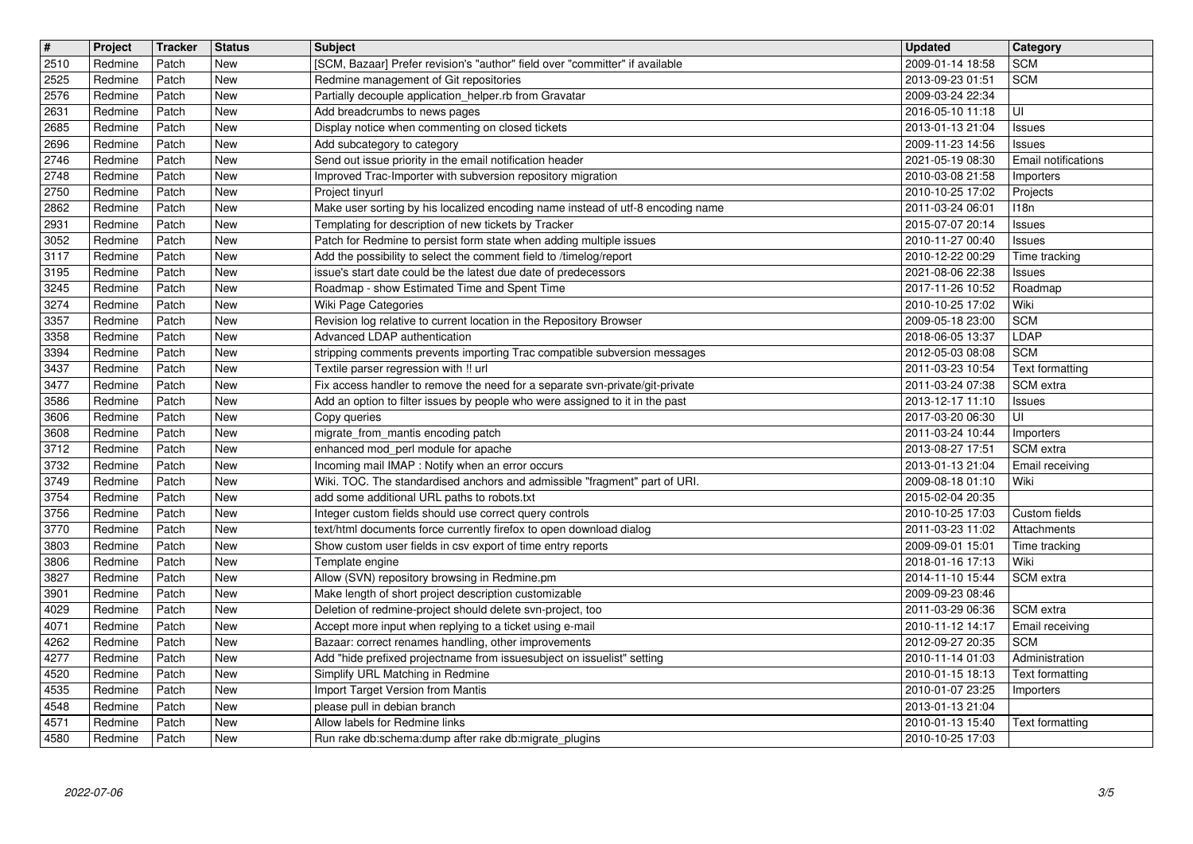| $\overline{\mathbf{H}}$ | Project            | Tracker        | <b>Status</b>            | Subject                                                                                                                                   | <b>Updated</b>                       | Category                         |
|-------------------------|--------------------|----------------|--------------------------|-------------------------------------------------------------------------------------------------------------------------------------------|--------------------------------------|----------------------------------|
| 2510<br>2525            | Redmine<br>Redmine | Patch<br>Patch | New<br>New               | [SCM, Bazaar] Prefer revision's "author" field over "committer" if available<br>Redmine management of Git repositories                    | 2009-01-14 18:58<br>2013-09-23 01:51 | <b>SCM</b><br><b>SCM</b>         |
| 2576                    | Redmine            | Patch          | New                      | Partially decouple application_helper.rb from Gravatar                                                                                    | 2009-03-24 22:34                     |                                  |
| 2631                    | Redmine            | Patch          | <b>New</b>               | Add breadcrumbs to news pages                                                                                                             | 2016-05-10 11:18                     | UI                               |
| 2685                    | Redmine            | Patch          | New                      | Display notice when commenting on closed tickets                                                                                          | 2013-01-13 21:04                     | <b>Issues</b>                    |
| 2696                    | Redmine            | Patch          | New                      | Add subcategory to category                                                                                                               | 2009-11-23 14:56                     | <b>Issues</b>                    |
| 2746<br>2748            | Redmine<br>Redmine | Patch<br>Patch | New<br>New               | Send out issue priority in the email notification header<br>Improved Trac-Importer with subversion repository migration                   | 2021-05-19 08:30<br>2010-03-08 21:58 | Email notifications<br>Importers |
| 2750                    | Redmine            | Patch          | New                      | Project tinyurl                                                                                                                           | 2010-10-25 17:02                     | Projects                         |
| 2862                    | Redmine            | Patch          | New                      | Make user sorting by his localized encoding name instead of utf-8 encoding name                                                           | 2011-03-24 06:01                     | 118n                             |
| 2931                    | Redmine            | Patch          | New                      | Templating for description of new tickets by Tracker                                                                                      | 2015-07-07 20:14                     | Issues                           |
| 3052<br>3117            | Redmine<br>Redmine | Patch<br>Patch | <b>New</b><br><b>New</b> | Patch for Redmine to persist form state when adding multiple issues<br>Add the possibility to select the comment field to /timelog/report | 2010-11-27 00:40<br>2010-12-22 00:29 | Issues<br>Time tracking          |
| 3195                    | Redmine            | Patch          | <b>New</b>               | issue's start date could be the latest due date of predecessors                                                                           | 2021-08-06 22:38                     | <b>Issues</b>                    |
| 3245                    | Redmine            | Patch          | New                      | Roadmap - show Estimated Time and Spent Time                                                                                              | 2017-11-26 10:52                     | Roadmap                          |
| 3274                    | Redmine<br>Redmine | Patch          | New                      | Wiki Page Categories                                                                                                                      | 2010-10-25 17:02                     | Wiki                             |
| 3357<br>3358            | Redmine            | Patch<br>Patch | New<br>New               | Revision log relative to current location in the Repository Browser<br>Advanced LDAP authentication                                       | 2009-05-18 23:00<br>2018-06-05 13:37 | <b>SCM</b><br>LDAP               |
| 3394                    | Redmine            | Patch          | New                      | stripping comments prevents importing Trac compatible subversion messages                                                                 | 2012-05-03 08:08                     | <b>SCM</b>                       |
| 3437                    | Redmine            | Patch          | New                      | Textile parser regression with !! url                                                                                                     | 2011-03-23 10:54                     | Text formatting                  |
| 3477                    | Redmine            | Patch<br>Patch | New<br><b>New</b>        | Fix access handler to remove the need for a separate svn-private/git-private                                                              | 2011-03-24 07:38<br>2013-12-17 11:10 | SCM extra                        |
| 3586<br>3606            | Redmine<br>Redmine | Patch          | New                      | Add an option to filter issues by people who were assigned to it in the past<br>Copy queries                                              | 2017-03-20 06:30                     | <b>Issues</b><br>UI              |
| 3608                    | Redmine            | Patch          | New                      | migrate from mantis encoding patch                                                                                                        | 2011-03-24 10:44                     | Importers                        |
| 3712                    | Redmine            | Patch          | New                      | enhanced mod_perl module for apache                                                                                                       | 2013-08-27 17:51                     | SCM extra                        |
| 3732<br>3749            | Redmine<br>Redmine | Patch<br>Patch | New<br>New               | Incoming mail IMAP : Notify when an error occurs<br>Wiki. TOC. The standardised anchors and admissible "fragment" part of URI.            | 2013-01-13 21:04<br>2009-08-18 01:10 | Email receiving<br>Wiki          |
| 3754                    | Redmine            | Patch          | New                      | add some additional URL paths to robots.txt                                                                                               | 2015-02-04 20:35                     |                                  |
| 3756                    | Redmine            | Patch          | New                      | Integer custom fields should use correct query controls                                                                                   | 2010-10-25 17:03                     | Custom fields                    |
| 3770                    | Redmine            | Patch          | New                      | text/html documents force currently firefox to open download dialog                                                                       | 2011-03-23 11:02                     | Attachments                      |
| 3803                    | Redmine<br>Redmine | Patch          | New<br>New               | Show custom user fields in csv export of time entry reports                                                                               | 2009-09-01 15:01                     | Time tracking<br>Wiki            |
| 3806<br>3827            | Redmine            | Patch<br>Patch | New                      | Template engine<br>Allow (SVN) repository browsing in Redmine.pm                                                                          | 2018-01-16 17:13<br>2014-11-10 15:44 | SCM extra                        |
| 3901                    | Redmine            | Patch          | New                      | Make length of short project description customizable                                                                                     | 2009-09-23 08:46                     |                                  |
| 4029                    | Redmine            | Patch          | New                      | Deletion of redmine-project should delete svn-project, too                                                                                | 2011-03-29 06:36                     | SCM extra                        |
| 4071<br>4262            | Redmine<br>Redmine | Patch<br>Patch | New<br>New               | Accept more input when replying to a ticket using e-mail<br>Bazaar: correct renames handling, other improvements                          | 2010-11-12 14:17<br>2012-09-27 20:35 | Email receiving<br><b>SCM</b>    |
| 4277                    | Redmine            | Patch          | New                      | Add "hide prefixed projectname from issuesubject on issuelist" setting                                                                    | 2010-11-14 01:03                     | Administration                   |
| 4520                    | Redmine            | Patch          | New                      | Simplify URL Matching in Redmine                                                                                                          | 2010-01-15 18:13   Text formatting   |                                  |
| 4535                    | Redmine            | Patch          | New                      | Import Target Version from Mantis                                                                                                         | 2010-01-07 23:25                     | Importers                        |
| 4548                    | Redmine            | Patch          | New                      | please pull in debian branch                                                                                                              | 2013-01-13 21:04<br>2010-01-13 15:40 |                                  |
| 4571<br>4580            | Redmine<br>Redmine | Patch<br>Patch | New<br>New               | Allow labels for Redmine links<br>Run rake db:schema:dump after rake db:migrate_plugins                                                   | 2010-10-25 17:03                     | Text formatting                  |
|                         |                    |                |                          |                                                                                                                                           |                                      |                                  |
|                         |                    |                |                          |                                                                                                                                           |                                      |                                  |
|                         |                    |                |                          |                                                                                                                                           |                                      |                                  |
|                         |                    |                |                          |                                                                                                                                           |                                      |                                  |
|                         |                    |                |                          |                                                                                                                                           |                                      |                                  |
|                         |                    |                |                          |                                                                                                                                           |                                      |                                  |
|                         |                    |                |                          |                                                                                                                                           |                                      |                                  |
|                         |                    |                |                          |                                                                                                                                           |                                      |                                  |
|                         |                    |                |                          |                                                                                                                                           |                                      |                                  |
|                         |                    |                |                          |                                                                                                                                           |                                      |                                  |
|                         |                    |                |                          |                                                                                                                                           |                                      |                                  |
|                         |                    |                |                          |                                                                                                                                           |                                      |                                  |
|                         |                    |                |                          |                                                                                                                                           |                                      |                                  |
|                         |                    |                |                          |                                                                                                                                           |                                      |                                  |
|                         |                    |                |                          |                                                                                                                                           |                                      |                                  |
|                         |                    |                |                          |                                                                                                                                           |                                      |                                  |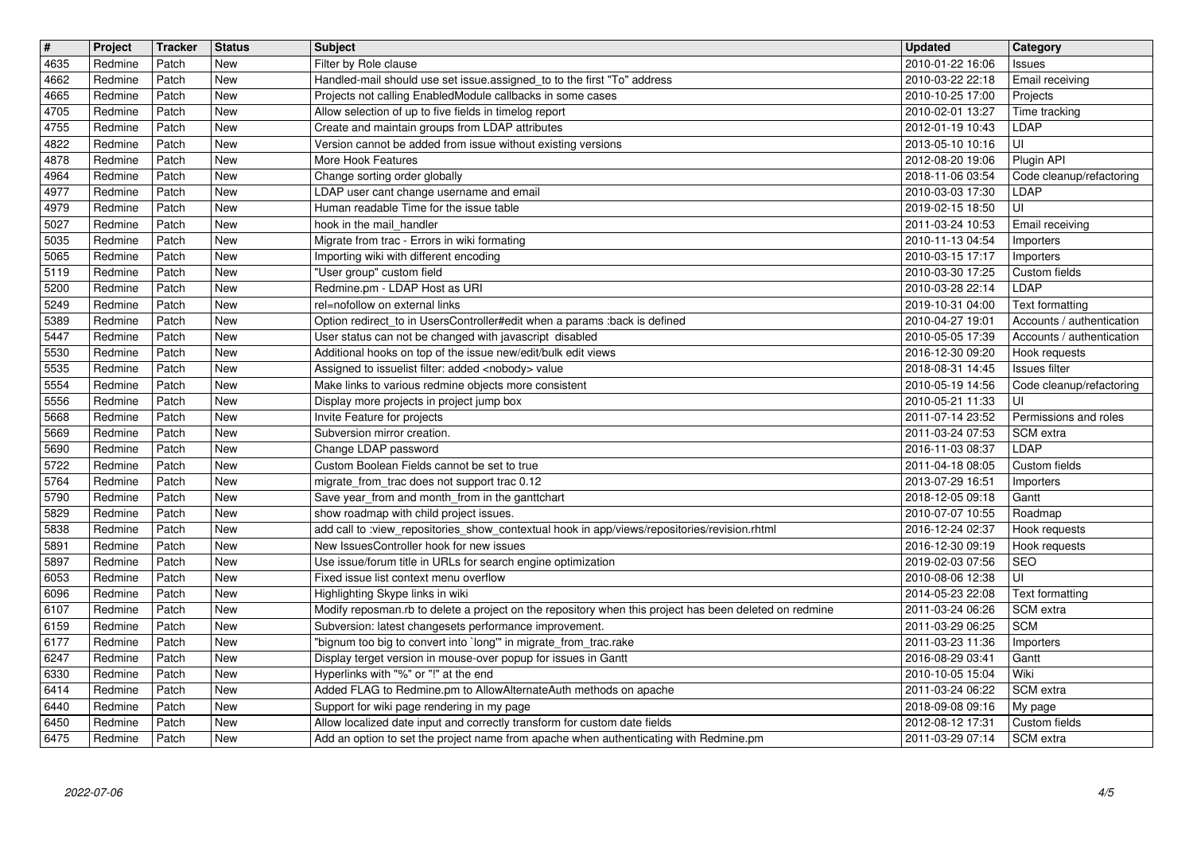| $\overline{\mathbf{t}}$ | Project            | Tracker        | <b>Status</b> | <b>Subject</b>                                                                                                                                                     | <b>Updated</b>                       | Category                                |
|-------------------------|--------------------|----------------|---------------|--------------------------------------------------------------------------------------------------------------------------------------------------------------------|--------------------------------------|-----------------------------------------|
| 4635<br>4662            | Redmine<br>Redmine | Patch<br>Patch | New<br>New    | Filter by Role clause<br>Handled-mail should use set issue.assigned_to to the first "To" address                                                                   | 2010-01-22 16:06<br>2010-03-22 22:18 | <b>Issues</b><br><b>Email receiving</b> |
| 4665                    | Redmine            | Patch          | <b>New</b>    | Projects not calling EnabledModule callbacks in some cases                                                                                                         | 2010-10-25 17:00                     | Projects                                |
| 4705                    | Redmine            | Patch          | New           | Allow selection of up to five fields in timelog report                                                                                                             | 2010-02-01 13:27                     | Time tracking                           |
| 4755<br>4822            | Redmine<br>Redmine | Patch<br>Patch | New<br>New    | Create and maintain groups from LDAP attributes<br>Version cannot be added from issue without existing versions                                                    | 2012-01-19 10:43<br>2013-05-10 10:16 | LDAP<br>UI                              |
| 4878                    | Redmine            | Patch          | New           | More Hook Features                                                                                                                                                 | 2012-08-20 19:06                     | Plugin API                              |
| 4964                    | Redmine            | Patch          | New           | Change sorting order globally                                                                                                                                      | 2018-11-06 03:54                     | Code cleanup/refactoring                |
| 4977                    | Redmine            | Patch<br>Patch | New<br>New    | LDAP user cant change username and email<br>Human readable Time for the issue table                                                                                | 2010-03-03 17:30                     | <b>LDAP</b>                             |
| 4979<br>5027            | Redmine<br>Redmine | Patch          | New           | hook in the mail_handler                                                                                                                                           | 2019-02-15 18:50<br>2011-03-24 10:53 | UI<br>Email receiving                   |
| 5035                    | Redmine            | Patch          | <b>New</b>    | Migrate from trac - Errors in wiki formating                                                                                                                       | 2010-11-13 04:54                     | Importers                               |
| 5065                    | Redmine            | Patch          | New           | Importing wiki with different encoding                                                                                                                             | 2010-03-15 17:17                     | Importers                               |
| 5119<br>5200            | Redmine<br>Redmine | Patch<br>Patch | New<br>New    | "User group" custom field<br>Redmine.pm - LDAP Host as URI                                                                                                         | 2010-03-30 17:25<br>2010-03-28 22:14 | Custom fields<br>LDAP                   |
| 5249                    | Redmine            | Patch          | New           | rel=nofollow on external links                                                                                                                                     | 2019-10-31 04:00                     | Text formatting                         |
| 5389                    | Redmine            | Patch          | New           | Option redirect_to in UsersController#edit when a params :back is defined                                                                                          | 2010-04-27 19:01                     | Accounts / authentication               |
| 5447                    | Redmine            | Patch<br>Patch | New<br>New    | User status can not be changed with javascript disabled                                                                                                            | 2010-05-05 17:39                     | Accounts / authentication               |
| 5530<br>5535            | Redmine<br>Redmine | Patch          | New           | Additional hooks on top of the issue new/edit/bulk edit views<br>Assigned to issuelist filter: added <nobody> value</nobody>                                       | 2016-12-30 09:20<br>2018-08-31 14:45 | Hook requests<br>Issues filter          |
| 5554                    | Redmine            | Patch          | New           | Make links to various redmine objects more consistent                                                                                                              | 2010-05-19 14:56                     | Code cleanup/refactoring                |
| 5556                    | Redmine            | Patch          | New           | Display more projects in project jump box                                                                                                                          | 2010-05-21 11:33                     | UI                                      |
| 5668<br>5669            | Redmine<br>Redmine | Patch<br>Patch | New<br>New    | Invite Feature for projects<br>Subversion mirror creation.                                                                                                         | 2011-07-14 23:52<br>2011-03-24 07:53 | Permissions and roles<br>SCM extra      |
| 5690                    | Redmine            | Patch          | New           | Change LDAP password                                                                                                                                               | 2016-11-03 08:37                     | LDAP                                    |
| 5722                    | Redmine            | Patch          | New           | Custom Boolean Fields cannot be set to true                                                                                                                        | 2011-04-18 08:05                     | Custom fields                           |
| 5764                    | Redmine            | Patch          | New           | migrate_from_trac does not support trac 0.12                                                                                                                       | 2013-07-29 16:51                     | Importers                               |
| 5790<br>5829            | Redmine<br>Redmine | Patch<br>Patch | New<br>New    | Save year_from and month_from in the ganttchart<br>show roadmap with child project issues.                                                                         | 2018-12-05 09:18<br>2010-07-07 10:55 | Gantt<br>Roadmap                        |
| 5838                    | Redmine            | Patch          | New           | add call to :view_repositories_show_contextual hook in app/views/repositories/revision.rhtml                                                                       | 2016-12-24 02:37                     | Hook requests                           |
| 5891                    | Redmine            | Patch          | New           | New IssuesController hook for new issues                                                                                                                           | 2016-12-30 09:19                     | Hook requests                           |
| 5897                    | Redmine<br>Redmine | Patch          | New<br>New    | Use issue/forum title in URLs for search engine optimization<br>Fixed issue list context menu overflow                                                             | 2019-02-03 07:56                     | <b>SEO</b>                              |
| 6053<br>6096            | Redmine            | Patch<br>Patch | New           | Highlighting Skype links in wiki                                                                                                                                   | 2010-08-06 12:38<br>2014-05-23 22:08 | UI<br>Text formatting                   |
| 6107                    | Redmine            | Patch          | New           | Modify reposman.rb to delete a project on the repository when this project has been deleted on redmine                                                             | 2011-03-24 06:26                     | <b>SCM</b> extra                        |
| 6159                    | Redmine            | Patch          | New           | Subversion: latest changesets performance improvement.                                                                                                             | 2011-03-29 06:25                     | <b>SCM</b>                              |
| 6177<br>6247            | Redmine<br>Redmine | Patch<br>Patch | New<br>New    | "bignum too big to convert into `long'" in migrate_from_trac.rake<br>Display terget version in mouse-over popup for issues in Gantt                                | 2011-03-23 11:36<br>2016-08-29 03:41 | Importers<br>Gantt                      |
| 6330                    | Redmine            | Patch          | New           | Hyperlinks with "%" or "!" at the end                                                                                                                              | 2010-10-05 15:04                     | Wiki                                    |
| 6414                    | Redmine            | Patch          | New           | Added FLAG to Redmine.pm to AllowAlternateAuth methods on apache                                                                                                   | 2011-03-24 06:22                     | SCM extra                               |
| 6440                    | Redmine            | Patch          | New           | Support for wiki page rendering in my page                                                                                                                         | 2018-09-08 09:16                     | My page                                 |
| 6450<br>6475            | Redmine<br>Redmine | Patch<br>Patch | New<br>New    | Allow localized date input and correctly transform for custom date fields<br>Add an option to set the project name from apache when authenticating with Redmine.pm | 2012-08-12 17:31<br>2011-03-29 07:14 | Custom fields<br>SCM extra              |
|                         |                    |                |               |                                                                                                                                                                    |                                      |                                         |
|                         |                    |                |               |                                                                                                                                                                    |                                      |                                         |
|                         |                    |                |               |                                                                                                                                                                    |                                      |                                         |
|                         |                    |                |               |                                                                                                                                                                    |                                      |                                         |
|                         |                    |                |               |                                                                                                                                                                    |                                      |                                         |
|                         |                    |                |               |                                                                                                                                                                    |                                      |                                         |
|                         |                    |                |               |                                                                                                                                                                    |                                      |                                         |
|                         |                    |                |               |                                                                                                                                                                    |                                      |                                         |
|                         |                    |                |               |                                                                                                                                                                    |                                      |                                         |
|                         |                    |                |               |                                                                                                                                                                    |                                      |                                         |
|                         |                    |                |               |                                                                                                                                                                    |                                      |                                         |
|                         |                    |                |               |                                                                                                                                                                    |                                      |                                         |
|                         |                    |                |               |                                                                                                                                                                    |                                      |                                         |
|                         |                    |                |               |                                                                                                                                                                    |                                      |                                         |
|                         |                    |                |               |                                                                                                                                                                    |                                      |                                         |
|                         |                    |                |               |                                                                                                                                                                    |                                      |                                         |
|                         |                    |                |               |                                                                                                                                                                    |                                      |                                         |
|                         |                    |                |               |                                                                                                                                                                    |                                      |                                         |
|                         |                    |                |               |                                                                                                                                                                    |                                      |                                         |
|                         |                    |                |               |                                                                                                                                                                    |                                      |                                         |
|                         |                    |                |               |                                                                                                                                                                    |                                      |                                         |
|                         |                    |                |               |                                                                                                                                                                    |                                      |                                         |
|                         |                    |                |               |                                                                                                                                                                    |                                      |                                         |
|                         |                    |                |               |                                                                                                                                                                    |                                      |                                         |
|                         |                    |                |               |                                                                                                                                                                    |                                      |                                         |
|                         |                    |                |               |                                                                                                                                                                    |                                      |                                         |
|                         |                    |                |               |                                                                                                                                                                    |                                      |                                         |
|                         |                    |                |               |                                                                                                                                                                    |                                      |                                         |
|                         |                    |                |               |                                                                                                                                                                    |                                      |                                         |
|                         |                    |                |               |                                                                                                                                                                    |                                      |                                         |
|                         |                    |                |               |                                                                                                                                                                    |                                      |                                         |
|                         |                    |                |               |                                                                                                                                                                    |                                      |                                         |
|                         |                    |                |               |                                                                                                                                                                    |                                      |                                         |
|                         |                    |                |               |                                                                                                                                                                    |                                      |                                         |
|                         |                    |                |               |                                                                                                                                                                    |                                      |                                         |
|                         |                    |                |               |                                                                                                                                                                    |                                      |                                         |
|                         |                    |                |               |                                                                                                                                                                    |                                      |                                         |
|                         |                    |                |               |                                                                                                                                                                    |                                      |                                         |
|                         |                    |                |               |                                                                                                                                                                    |                                      |                                         |
|                         |                    |                |               |                                                                                                                                                                    |                                      |                                         |
|                         |                    |                |               |                                                                                                                                                                    |                                      |                                         |